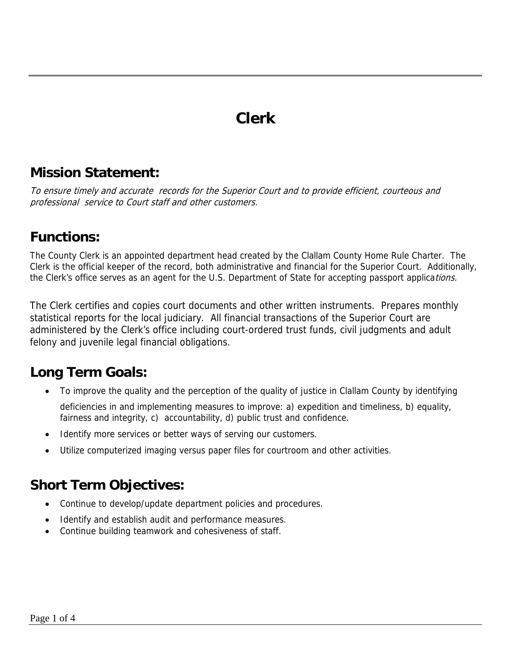### **Clerk**

#### **Mission Statement:**

To ensure timely and accurate records for the Superior Court and to provide efficient, courteous and professional service to Court staff and other customers.

#### **Functions:**

The County Clerk is an appointed department head created by the Clallam County Home Rule Charter. The Clerk is the official keeper of the record, both administrative and financial for the Superior Court. Additionally, the Clerk's office serves as an agent for the U.S. Department of State for accepting passport applications.

The Clerk certifies and copies court documents and other written instruments. Prepares monthly statistical reports for the local judiciary. All financial transactions of the Superior Court are administered by the Clerk's office including court-ordered trust funds, civil judgments and adult felony and juvenile legal financial obligations.

### **Long Term Goals:**

- To improve the quality and the perception of the quality of justice in Clallam County by identifying deficiencies in and implementing measures to improve: a) expedition and timeliness, b) equality, fairness and integrity, c) accountability, d) public trust and confidence.
- Identify more services or better ways of serving our customers.
- Utilize computerized imaging versus paper files for courtroom and other activities.

#### **Short Term Objectives:**

- Continue to develop/update department policies and procedures.
- Identify and establish audit and performance measures.
- Continue building teamwork and cohesiveness of staff.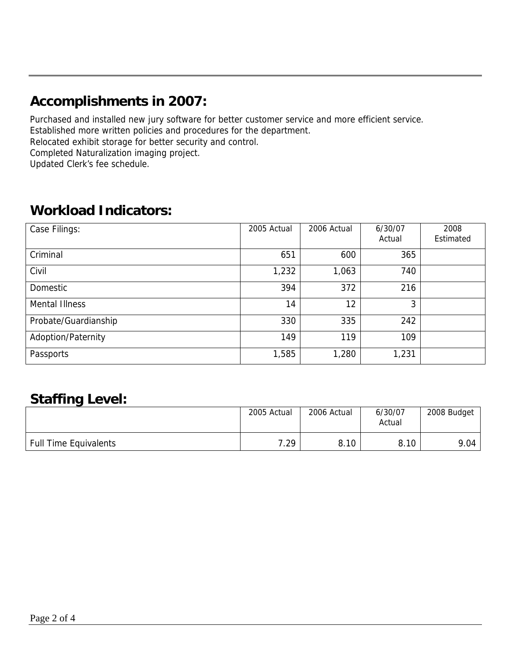### **Accomplishments in 2007:**

Purchased and installed new jury software for better customer service and more efficient service. Established more written policies and procedures for the department. Relocated exhibit storage for better security and control. Completed Naturalization imaging project. Updated Clerk's fee schedule.

#### **Workload Indicators:**

| Case Filings:         | 2005 Actual | 2006 Actual | 6/30/07<br>Actual | 2008<br>Estimated |
|-----------------------|-------------|-------------|-------------------|-------------------|
| Criminal              | 651         | 600         | 365               |                   |
| Civil                 | 1,232       | 1,063       | 740               |                   |
| Domestic              | 394         | 372         | 216               |                   |
| <b>Mental Illness</b> | 14          | 12          | 3                 |                   |
| Probate/Guardianship  | 330         | 335         | 242               |                   |
| Adoption/Paternity    | 149         | 119         | 109               |                   |
| Passports             | 1,585       | 1,280       | 1,231             |                   |

#### **Staffing Level:**

|                              | 2005 Actual | 2006 Actual | 6/30/07<br>Actual | 2008 Budget |
|------------------------------|-------------|-------------|-------------------|-------------|
| <b>Full Time Equivalents</b> | 7.29        | 8.10        | 8.10              | 9.04        |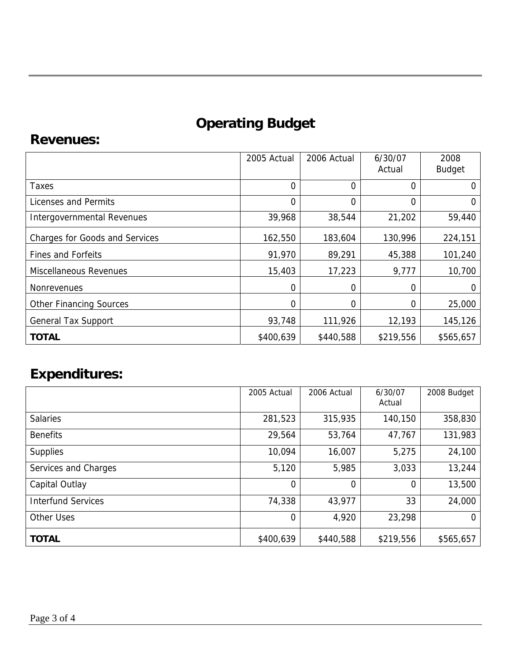# **Operating Budget**

#### **Revenues:**

|                                       | 2005 Actual    | 2006 Actual | 6/30/07<br>Actual | 2008<br><b>Budget</b> |
|---------------------------------------|----------------|-------------|-------------------|-----------------------|
| Taxes                                 | $\overline{0}$ | 0           | 0                 | 0                     |
| Licenses and Permits                  | $\overline{0}$ | 0           | 0                 | O                     |
| Intergovernmental Revenues            | 39,968         | 38,544      | 21,202            | 59,440                |
| <b>Charges for Goods and Services</b> | 162,550        | 183,604     | 130,996           | 224,151               |
| <b>Fines and Forfeits</b>             | 91,970         | 89,291      | 45,388            | 101,240               |
| <b>Miscellaneous Revenues</b>         | 15,403         | 17,223      | 9,777             | 10,700                |
| <b>Nonrevenues</b>                    | 0              | 0           | 0                 | 0                     |
| <b>Other Financing Sources</b>        | 0              | 0           | 0                 | 25,000                |
| <b>General Tax Support</b>            | 93,748         | 111,926     | 12,193            | 145,126               |
| <b>TOTAL</b>                          | \$400,639      | \$440,588   | \$219,556         | \$565,657             |

## **Expenditures:**

|                           | 2005 Actual    | 2006 Actual | 6/30/07<br>Actual | 2008 Budget |
|---------------------------|----------------|-------------|-------------------|-------------|
| <b>Salaries</b>           | 281,523        | 315,935     | 140,150           | 358,830     |
| <b>Benefits</b>           | 29,564         | 53,764      | 47,767            | 131,983     |
| <b>Supplies</b>           | 10,094         | 16,007      | 5,275             | 24,100      |
| Services and Charges      | 5,120          | 5,985       | 3,033             | 13,244      |
| Capital Outlay            | 0              | 0           | $\Omega$          | 13,500      |
| <b>Interfund Services</b> | 74,338         | 43,977      | 33                | 24,000      |
| <b>Other Uses</b>         | $\overline{0}$ | 4,920       | 23,298            | 0           |
| <b>TOTAL</b>              | \$400,639      | \$440,588   | \$219,556         | \$565,657   |